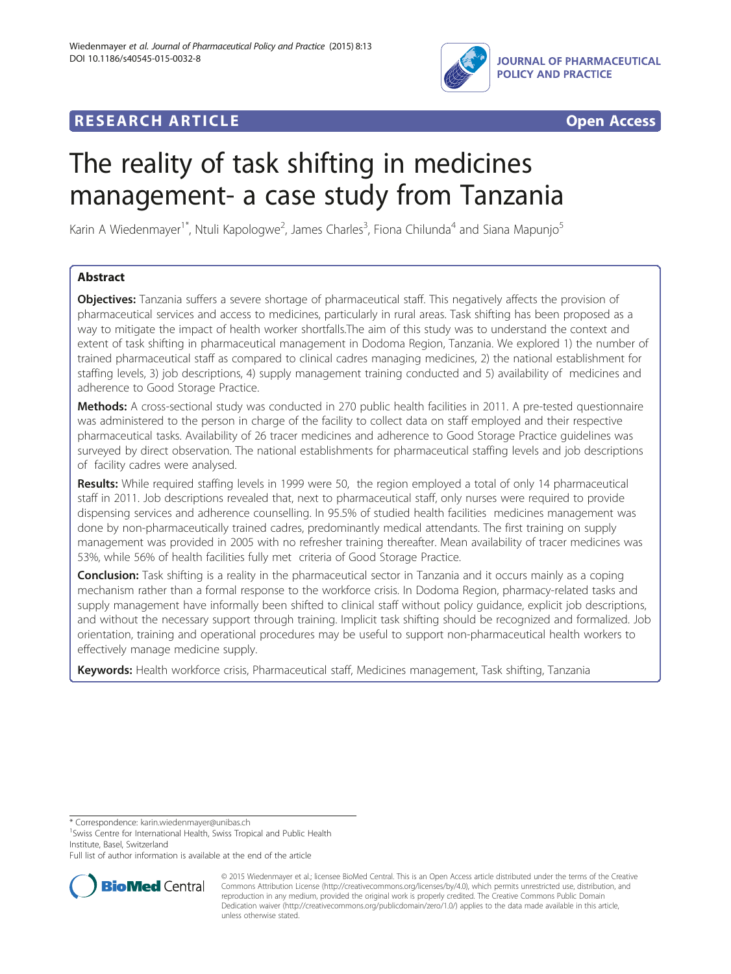

# **RESEARCH ARTICLE Example 2018 12:00 Department 2018 12:00 Department 2018 12:00 Department 2018 12:00 Department 2018 12:00 Department 2018 12:00 Department 2018 12:00 Department 2018 12:00 Department 2018 12:00 Departm**



# The reality of task shifting in medicines management- a case study from Tanzania

Karin A Wiedenmayer<sup>1\*</sup>, Ntuli Kapologwe<sup>2</sup>, James Charles<sup>3</sup>, Fiona Chilunda<sup>4</sup> and Siana Mapunjo<sup>5</sup>

## Abstract

Objectives: Tanzania suffers a severe shortage of pharmaceutical staff. This negatively affects the provision of pharmaceutical services and access to medicines, particularly in rural areas. Task shifting has been proposed as a way to mitigate the impact of health worker shortfalls.The aim of this study was to understand the context and extent of task shifting in pharmaceutical management in Dodoma Region, Tanzania. We explored 1) the number of trained pharmaceutical staff as compared to clinical cadres managing medicines, 2) the national establishment for staffing levels, 3) job descriptions, 4) supply management training conducted and 5) availability of medicines and adherence to Good Storage Practice.

Methods: A cross-sectional study was conducted in 270 public health facilities in 2011. A pre-tested questionnaire was administered to the person in charge of the facility to collect data on staff employed and their respective pharmaceutical tasks. Availability of 26 tracer medicines and adherence to Good Storage Practice guidelines was surveyed by direct observation. The national establishments for pharmaceutical staffing levels and job descriptions of facility cadres were analysed.

Results: While required staffing levels in 1999 were 50, the region employed a total of only 14 pharmaceutical staff in 2011. Job descriptions revealed that, next to pharmaceutical staff, only nurses were required to provide dispensing services and adherence counselling. In 95.5% of studied health facilities medicines management was done by non-pharmaceutically trained cadres, predominantly medical attendants. The first training on supply management was provided in 2005 with no refresher training thereafter. Mean availability of tracer medicines was 53%, while 56% of health facilities fully met criteria of Good Storage Practice.

Conclusion: Task shifting is a reality in the pharmaceutical sector in Tanzania and it occurs mainly as a coping mechanism rather than a formal response to the workforce crisis. In Dodoma Region, pharmacy-related tasks and supply management have informally been shifted to clinical staff without policy guidance, explicit job descriptions, and without the necessary support through training. Implicit task shifting should be recognized and formalized. Job orientation, training and operational procedures may be useful to support non-pharmaceutical health workers to effectively manage medicine supply.

Keywords: Health workforce crisis, Pharmaceutical staff, Medicines management, Task shifting, Tanzania

\* Correspondence: [karin.wiedenmayer@unibas.ch](mailto:karin.wiedenmayer@unibas.ch) <sup>1</sup>

<sup>1</sup> Swiss Centre for International Health, Swiss Tropical and Public Health Institute, Basel, Switzerland

Full list of author information is available at the end of the article



<sup>© 2015</sup> Wiedenmayer et al.; licensee BioMed Central. This is an Open Access article distributed under the terms of the Creative Commons Attribution License [\(http://creativecommons.org/licenses/by/4.0\)](http://creativecommons.org/licenses/by/4.0), which permits unrestricted use, distribution, and reproduction in any medium, provided the original work is properly credited. The Creative Commons Public Domain Dedication waiver [\(http://creativecommons.org/publicdomain/zero/1.0/](http://creativecommons.org/publicdomain/zero/1.0/)) applies to the data made available in this article, unless otherwise stated.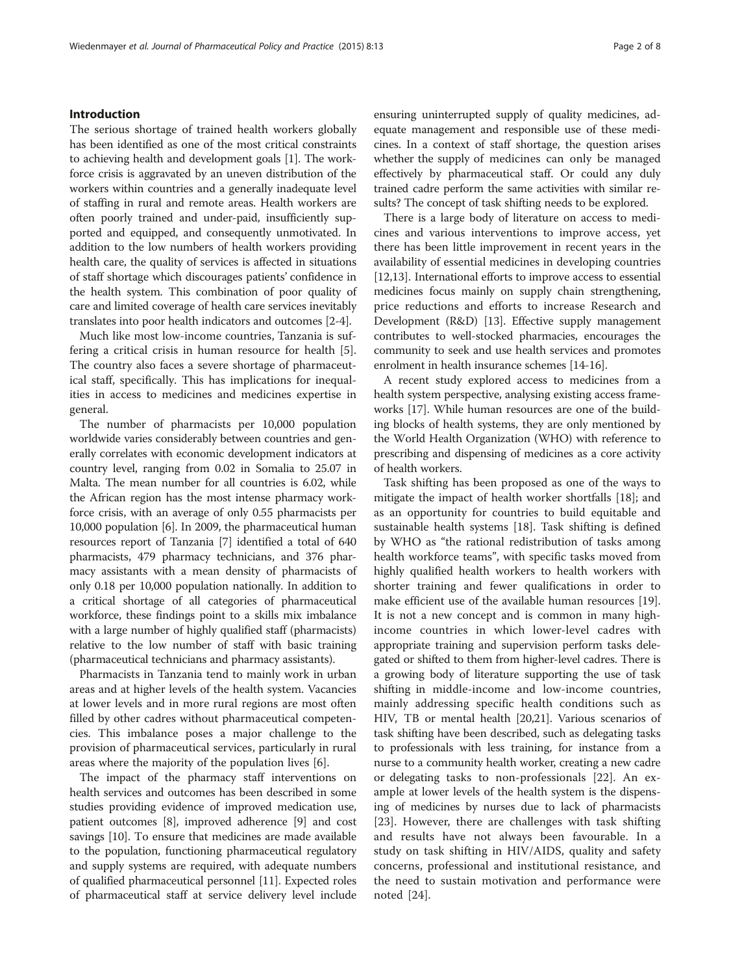#### Introduction

The serious shortage of trained health workers globally has been identified as one of the most critical constraints to achieving health and development goals [\[1\]](#page-7-0). The workforce crisis is aggravated by an uneven distribution of the workers within countries and a generally inadequate level of staffing in rural and remote areas. Health workers are often poorly trained and under-paid, insufficiently supported and equipped, and consequently unmotivated. In addition to the low numbers of health workers providing health care, the quality of services is affected in situations of staff shortage which discourages patients' confidence in the health system. This combination of poor quality of care and limited coverage of health care services inevitably translates into poor health indicators and outcomes [\[2](#page-7-0)-[4](#page-7-0)].

Much like most low-income countries, Tanzania is suffering a critical crisis in human resource for health [\[5](#page-7-0)]. The country also faces a severe shortage of pharmaceutical staff, specifically. This has implications for inequalities in access to medicines and medicines expertise in general.

The number of pharmacists per 10,000 population worldwide varies considerably between countries and generally correlates with economic development indicators at country level, ranging from 0.02 in Somalia to 25.07 in Malta. The mean number for all countries is 6.02, while the African region has the most intense pharmacy workforce crisis, with an average of only 0.55 pharmacists per 10,000 population [[6\]](#page-7-0). In 2009, the pharmaceutical human resources report of Tanzania [\[7](#page-7-0)] identified a total of 640 pharmacists, 479 pharmacy technicians, and 376 pharmacy assistants with a mean density of pharmacists of only 0.18 per 10,000 population nationally. In addition to a critical shortage of all categories of pharmaceutical workforce, these findings point to a skills mix imbalance with a large number of highly qualified staff (pharmacists) relative to the low number of staff with basic training (pharmaceutical technicians and pharmacy assistants).

Pharmacists in Tanzania tend to mainly work in urban areas and at higher levels of the health system. Vacancies at lower levels and in more rural regions are most often filled by other cadres without pharmaceutical competencies. This imbalance poses a major challenge to the provision of pharmaceutical services, particularly in rural areas where the majority of the population lives [\[6](#page-7-0)].

The impact of the pharmacy staff interventions on health services and outcomes has been described in some studies providing evidence of improved medication use, patient outcomes [[8\]](#page-7-0), improved adherence [\[9](#page-7-0)] and cost savings [\[10](#page-7-0)]. To ensure that medicines are made available to the population, functioning pharmaceutical regulatory and supply systems are required, with adequate numbers of qualified pharmaceutical personnel [\[11\]](#page-7-0). Expected roles of pharmaceutical staff at service delivery level include ensuring uninterrupted supply of quality medicines, adequate management and responsible use of these medicines. In a context of staff shortage, the question arises whether the supply of medicines can only be managed effectively by pharmaceutical staff. Or could any duly trained cadre perform the same activities with similar results? The concept of task shifting needs to be explored.

There is a large body of literature on access to medicines and various interventions to improve access, yet there has been little improvement in recent years in the availability of essential medicines in developing countries [[12,13\]](#page-7-0). International efforts to improve access to essential medicines focus mainly on supply chain strengthening, price reductions and efforts to increase Research and Development (R&D) [\[13](#page-7-0)]. Effective supply management contributes to well-stocked pharmacies, encourages the community to seek and use health services and promotes enrolment in health insurance schemes [\[14-16\]](#page-7-0).

A recent study explored access to medicines from a health system perspective, analysing existing access frameworks [\[17\]](#page-7-0). While human resources are one of the building blocks of health systems, they are only mentioned by the World Health Organization (WHO) with reference to prescribing and dispensing of medicines as a core activity of health workers.

Task shifting has been proposed as one of the ways to mitigate the impact of health worker shortfalls [[18\]](#page-7-0); and as an opportunity for countries to build equitable and sustainable health systems [[18](#page-7-0)]. Task shifting is defined by WHO as "the rational redistribution of tasks among health workforce teams", with specific tasks moved from highly qualified health workers to health workers with shorter training and fewer qualifications in order to make efficient use of the available human resources [\[19](#page-7-0)]. It is not a new concept and is common in many highincome countries in which lower-level cadres with appropriate training and supervision perform tasks delegated or shifted to them from higher-level cadres. There is a growing body of literature supporting the use of task shifting in middle-income and low-income countries, mainly addressing specific health conditions such as HIV, TB or mental health [[20,21\]](#page-7-0). Various scenarios of task shifting have been described, such as delegating tasks to professionals with less training, for instance from a nurse to a community health worker, creating a new cadre or delegating tasks to non-professionals [\[22\]](#page-7-0). An example at lower levels of the health system is the dispensing of medicines by nurses due to lack of pharmacists [[23](#page-7-0)]. However, there are challenges with task shifting and results have not always been favourable. In a study on task shifting in HIV/AIDS, quality and safety concerns, professional and institutional resistance, and the need to sustain motivation and performance were noted [[24\]](#page-7-0).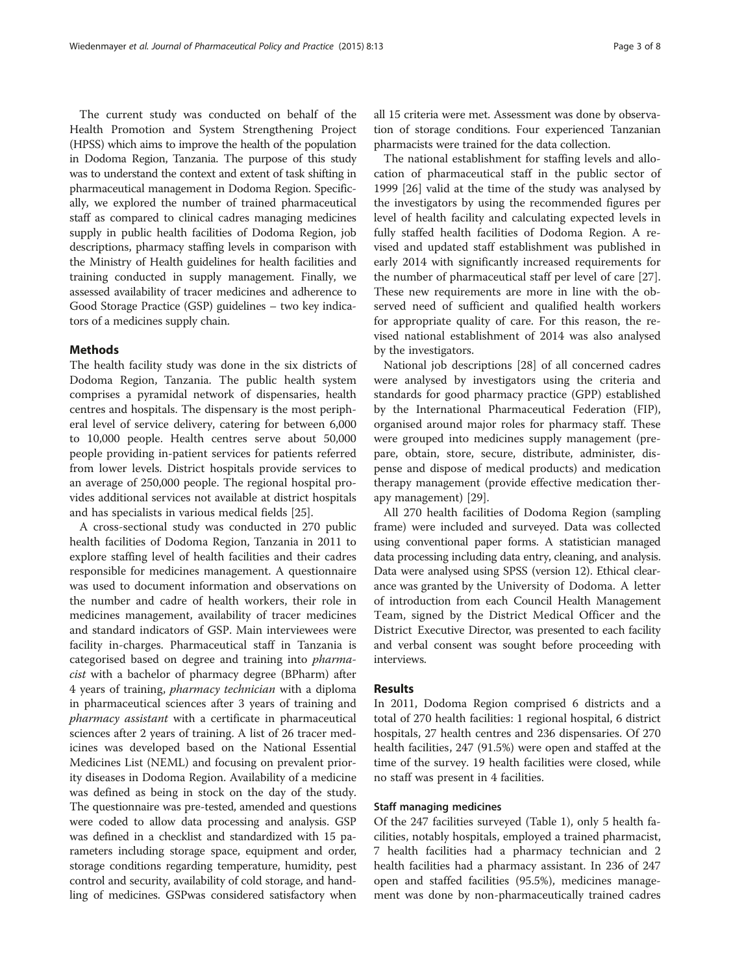The current study was conducted on behalf of the Health Promotion and System Strengthening Project (HPSS) which aims to improve the health of the population in Dodoma Region, Tanzania. The purpose of this study was to understand the context and extent of task shifting in pharmaceutical management in Dodoma Region. Specifically, we explored the number of trained pharmaceutical staff as compared to clinical cadres managing medicines supply in public health facilities of Dodoma Region, job descriptions, pharmacy staffing levels in comparison with the Ministry of Health guidelines for health facilities and training conducted in supply management. Finally, we assessed availability of tracer medicines and adherence to Good Storage Practice (GSP) guidelines – two key indicators of a medicines supply chain.

#### Methods

The health facility study was done in the six districts of Dodoma Region, Tanzania. The public health system comprises a pyramidal network of dispensaries, health centres and hospitals. The dispensary is the most peripheral level of service delivery, catering for between 6,000 to 10,000 people. Health centres serve about 50,000 people providing in-patient services for patients referred from lower levels. District hospitals provide services to an average of 250,000 people. The regional hospital provides additional services not available at district hospitals and has specialists in various medical fields [\[25](#page-7-0)].

A cross-sectional study was conducted in 270 public health facilities of Dodoma Region, Tanzania in 2011 to explore staffing level of health facilities and their cadres responsible for medicines management. A questionnaire was used to document information and observations on the number and cadre of health workers, their role in medicines management, availability of tracer medicines and standard indicators of GSP. Main interviewees were facility in-charges. Pharmaceutical staff in Tanzania is categorised based on degree and training into pharmacist with a bachelor of pharmacy degree (BPharm) after 4 years of training, pharmacy technician with a diploma in pharmaceutical sciences after 3 years of training and pharmacy assistant with a certificate in pharmaceutical sciences after 2 years of training. A list of 26 tracer medicines was developed based on the National Essential Medicines List (NEML) and focusing on prevalent priority diseases in Dodoma Region. Availability of a medicine was defined as being in stock on the day of the study. The questionnaire was pre-tested, amended and questions were coded to allow data processing and analysis. GSP was defined in a checklist and standardized with 15 parameters including storage space, equipment and order, storage conditions regarding temperature, humidity, pest control and security, availability of cold storage, and handling of medicines. GSPwas considered satisfactory when all 15 criteria were met. Assessment was done by observation of storage conditions. Four experienced Tanzanian pharmacists were trained for the data collection.

The national establishment for staffing levels and allocation of pharmaceutical staff in the public sector of 1999 [[26\]](#page-7-0) valid at the time of the study was analysed by the investigators by using the recommended figures per level of health facility and calculating expected levels in fully staffed health facilities of Dodoma Region. A revised and updated staff establishment was published in early 2014 with significantly increased requirements for the number of pharmaceutical staff per level of care [\[27](#page-7-0)]. These new requirements are more in line with the observed need of sufficient and qualified health workers for appropriate quality of care. For this reason, the revised national establishment of 2014 was also analysed by the investigators.

National job descriptions [\[28](#page-7-0)] of all concerned cadres were analysed by investigators using the criteria and standards for good pharmacy practice (GPP) established by the International Pharmaceutical Federation (FIP), organised around major roles for pharmacy staff. These were grouped into medicines supply management (prepare, obtain, store, secure, distribute, administer, dispense and dispose of medical products) and medication therapy management (provide effective medication therapy management) [[29](#page-7-0)].

All 270 health facilities of Dodoma Region (sampling frame) were included and surveyed. Data was collected using conventional paper forms. A statistician managed data processing including data entry, cleaning, and analysis. Data were analysed using SPSS (version 12). Ethical clearance was granted by the University of Dodoma. A letter of introduction from each Council Health Management Team, signed by the District Medical Officer and the District Executive Director, was presented to each facility and verbal consent was sought before proceeding with interviews.

#### Results

In 2011, Dodoma Region comprised 6 districts and a total of 270 health facilities: 1 regional hospital, 6 district hospitals, 27 health centres and 236 dispensaries. Of 270 health facilities, 247 (91.5%) were open and staffed at the time of the survey. 19 health facilities were closed, while no staff was present in 4 facilities.

#### Staff managing medicines

Of the 247 facilities surveyed (Table [1\)](#page-3-0), only 5 health facilities, notably hospitals, employed a trained pharmacist, 7 health facilities had a pharmacy technician and 2 health facilities had a pharmacy assistant. In 236 of 247 open and staffed facilities (95.5%), medicines management was done by non-pharmaceutically trained cadres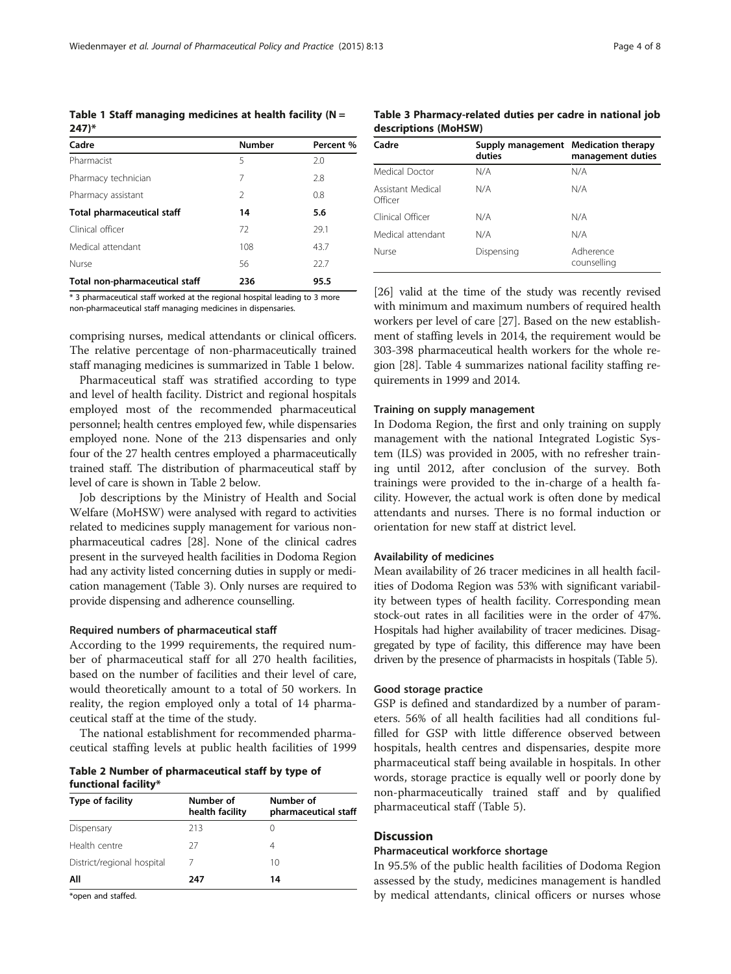\* 3 pharmaceutical staff worked at the regional hospital leading to 3 more non-pharmaceutical staff managing medicines in dispensaries.

comprising nurses, medical attendants or clinical officers. The relative percentage of non-pharmaceutically trained staff managing medicines is summarized in Table 1 below.

Pharmaceutical staff was stratified according to type and level of health facility. District and regional hospitals employed most of the recommended pharmaceutical personnel; health centres employed few, while dispensaries employed none. None of the 213 dispensaries and only four of the 27 health centres employed a pharmaceutically trained staff. The distribution of pharmaceutical staff by level of care is shown in Table 2 below.

Job descriptions by the Ministry of Health and Social Welfare (MoHSW) were analysed with regard to activities related to medicines supply management for various nonpharmaceutical cadres [[28](#page-7-0)]. None of the clinical cadres present in the surveyed health facilities in Dodoma Region had any activity listed concerning duties in supply or medication management (Table 3). Only nurses are required to provide dispensing and adherence counselling.

#### Required numbers of pharmaceutical staff

According to the 1999 requirements, the required number of pharmaceutical staff for all 270 health facilities, based on the number of facilities and their level of care, would theoretically amount to a total of 50 workers. In reality, the region employed only a total of 14 pharmaceutical staff at the time of the study.

The national establishment for recommended pharmaceutical staffing levels at public health facilities of 1999

Table 2 Number of pharmaceutical staff by type of functional facility\*

| Type of facility           | Number of<br>health facility | Number of<br>pharmaceutical staff |
|----------------------------|------------------------------|-----------------------------------|
| Dispensary                 | 213                          | $\left( \right)$                  |
| Health centre              | 27                           | 4                                 |
| District/regional hospital |                              | 10                                |
| All                        | 247                          | 14                                |

\*open and staffed.

Table 3 Pharmacy-related duties per cadre in national job descriptions (MoHSW)

| Cadre                        | Supply management<br>duties | <b>Medication therapy</b><br>management duties |
|------------------------------|-----------------------------|------------------------------------------------|
| Medical Doctor               | N/A                         | N/A                                            |
| Assistant Medical<br>Officer | N/A                         | N/A                                            |
| Clinical Officer             | N/A                         | N/A                                            |
| Medical attendant            | N/A                         | N/A                                            |
| Nurse                        | Dispensing                  | Adherence<br>counselling                       |

[[26\]](#page-7-0) valid at the time of the study was recently revised with minimum and maximum numbers of required health workers per level of care [\[27\]](#page-7-0). Based on the new establishment of staffing levels in 2014, the requirement would be 303-398 pharmaceutical health workers for the whole region [\[28](#page-7-0)]. Table [4](#page-4-0) summarizes national facility staffing requirements in 1999 and 2014.

#### Training on supply management

In Dodoma Region, the first and only training on supply management with the national Integrated Logistic System (ILS) was provided in 2005, with no refresher training until 2012, after conclusion of the survey. Both trainings were provided to the in-charge of a health facility. However, the actual work is often done by medical attendants and nurses. There is no formal induction or orientation for new staff at district level.

#### Availability of medicines

Mean availability of 26 tracer medicines in all health facilities of Dodoma Region was 53% with significant variability between types of health facility. Corresponding mean stock-out rates in all facilities were in the order of 47%. Hospitals had higher availability of tracer medicines. Disaggregated by type of facility, this difference may have been driven by the presence of pharmacists in hospitals (Table [5\)](#page-4-0).

#### Good storage practice

GSP is defined and standardized by a number of parameters. 56% of all health facilities had all conditions fulfilled for GSP with little difference observed between hospitals, health centres and dispensaries, despite more pharmaceutical staff being available in hospitals. In other words, storage practice is equally well or poorly done by non-pharmaceutically trained staff and by qualified pharmaceutical staff (Table [5](#page-4-0)).

### **Discussion**

#### Pharmaceutical workforce shortage

In 95.5% of the public health facilities of Dodoma Region assessed by the study, medicines management is handled by medical attendants, clinical officers or nurses whose

<span id="page-3-0"></span>Wiedenmayer et al. Journal of Pharmaceutical Policy and Practice (2015) 8:13 Page 4 of 8

Table 1 Staff managing medicines at health facility ( $N =$ 

| $247$ <sup>*</sup>                |               |           |
|-----------------------------------|---------------|-----------|
| Cadre                             | <b>Number</b> | Percent % |
| Pharmacist                        | 5             | 2.0       |
| Pharmacy technician               | 7             | 2.8       |
| Pharmacy assistant                | $\mathcal{P}$ | 0.8       |
| <b>Total pharmaceutical staff</b> | 14            | 5.6       |
| Clinical officer                  | 72            | 29.1      |
| Medical attendant                 | 108           | 43.7      |
| Nurse                             | 56            | 22.7      |
| Total non-pharmaceutical staff    | 236           | 95.5      |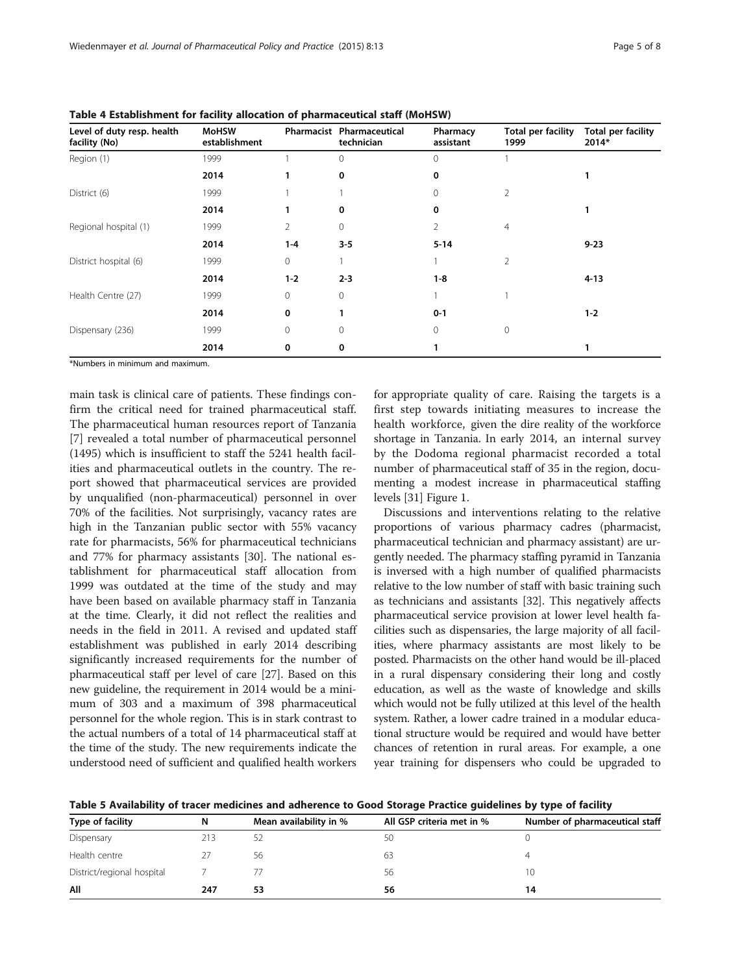| Level of duty resp. health<br>facility (No) | <b>MoHSW</b><br>establishment |                | <b>Pharmacist Pharmaceutical</b><br>technician | Pharmacy<br>assistant | Total per facility<br>1999 | <b>Total per facility</b><br>2014* |
|---------------------------------------------|-------------------------------|----------------|------------------------------------------------|-----------------------|----------------------------|------------------------------------|
| Region (1)                                  | 1999                          |                | $\Omega$                                       | $\Omega$              |                            |                                    |
|                                             | 2014                          |                | 0                                              | 0                     |                            |                                    |
| District (6)                                | 1999                          |                |                                                | $\Omega$              | 2                          |                                    |
|                                             | 2014                          |                | 0                                              | 0                     |                            |                                    |
| Regional hospital (1)                       | 1999                          | $\overline{2}$ | 0                                              | 2                     | $\overline{4}$             |                                    |
|                                             | 2014                          | $1 - 4$        | $3 - 5$                                        | $5 - 14$              |                            | $9 - 23$                           |
| District hospital (6)                       | 1999                          | $\Omega$       |                                                |                       | 2                          |                                    |
|                                             | 2014                          | $1 - 2$        | $2 - 3$                                        | $1-8$                 |                            | $4 - 13$                           |
| Health Centre (27)                          | 1999                          | 0              | 0                                              |                       |                            |                                    |
|                                             | 2014                          | 0              |                                                | $0 - 1$               |                            | $1 - 2$                            |
| Dispensary (236)                            | 1999                          | $\Omega$       | 0                                              | $\mathbf{0}$          | $\mathbf{0}$               |                                    |
|                                             | 2014                          | 0              | 0                                              |                       |                            |                                    |

<span id="page-4-0"></span>Table 4 Establishment for facility allocation of pharmaceutical staff (MoHSW)

\*Numbers in minimum and maximum.

main task is clinical care of patients. These findings confirm the critical need for trained pharmaceutical staff. The pharmaceutical human resources report of Tanzania [[7\]](#page-7-0) revealed a total number of pharmaceutical personnel (1495) which is insufficient to staff the 5241 health facilities and pharmaceutical outlets in the country. The report showed that pharmaceutical services are provided by unqualified (non-pharmaceutical) personnel in over 70% of the facilities. Not surprisingly, vacancy rates are high in the Tanzanian public sector with 55% vacancy rate for pharmacists, 56% for pharmaceutical technicians and 77% for pharmacy assistants [\[30\]](#page-7-0). The national establishment for pharmaceutical staff allocation from 1999 was outdated at the time of the study and may have been based on available pharmacy staff in Tanzania at the time. Clearly, it did not reflect the realities and needs in the field in 2011. A revised and updated staff establishment was published in early 2014 describing significantly increased requirements for the number of pharmaceutical staff per level of care [\[27\]](#page-7-0). Based on this new guideline, the requirement in 2014 would be a minimum of 303 and a maximum of 398 pharmaceutical personnel for the whole region. This is in stark contrast to the actual numbers of a total of 14 pharmaceutical staff at the time of the study. The new requirements indicate the understood need of sufficient and qualified health workers

for appropriate quality of care. Raising the targets is a first step towards initiating measures to increase the health workforce, given the dire reality of the workforce shortage in Tanzania. In early 2014, an internal survey by the Dodoma regional pharmacist recorded a total number of pharmaceutical staff of 35 in the region, documenting a modest increase in pharmaceutical staffing levels [\[31\]](#page-7-0) Figure [1](#page-5-0).

Discussions and interventions relating to the relative proportions of various pharmacy cadres (pharmacist, pharmaceutical technician and pharmacy assistant) are urgently needed. The pharmacy staffing pyramid in Tanzania is inversed with a high number of qualified pharmacists relative to the low number of staff with basic training such as technicians and assistants [\[32\]](#page-7-0). This negatively affects pharmaceutical service provision at lower level health facilities such as dispensaries, the large majority of all facilities, where pharmacy assistants are most likely to be posted. Pharmacists on the other hand would be ill-placed in a rural dispensary considering their long and costly education, as well as the waste of knowledge and skills which would not be fully utilized at this level of the health system. Rather, a lower cadre trained in a modular educational structure would be required and would have better chances of retention in rural areas. For example, a one year training for dispensers who could be upgraded to

Table 5 Availability of tracer medicines and adherence to Good Storage Practice guidelines by type of facility

| Type of facility           |     | Mean availability in % | All GSP criteria met in % | Number of pharmaceutical staff |
|----------------------------|-----|------------------------|---------------------------|--------------------------------|
| Dispensary                 | 213 |                        | 50                        |                                |
| Health centre              |     | 56                     | 63                        | 4                              |
| District/regional hospital |     |                        | 56                        | 10                             |
| All                        | 247 | 53                     | 56                        | 14                             |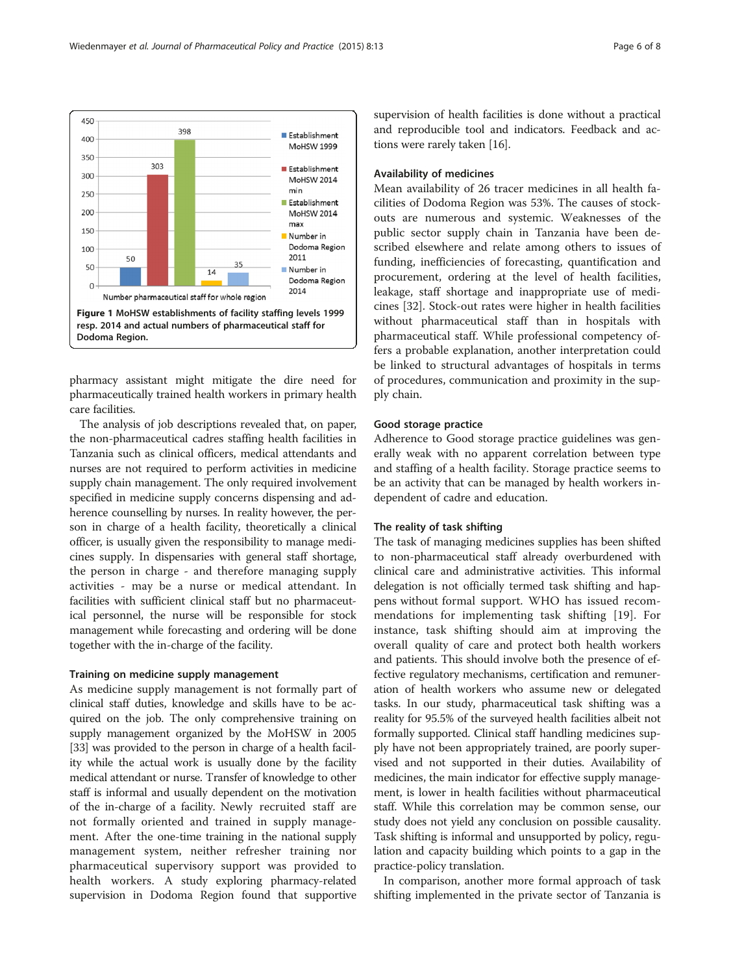

<span id="page-5-0"></span>

pharmacy assistant might mitigate the dire need for pharmaceutically trained health workers in primary health care facilities.

The analysis of job descriptions revealed that, on paper, the non-pharmaceutical cadres staffing health facilities in Tanzania such as clinical officers, medical attendants and nurses are not required to perform activities in medicine supply chain management. The only required involvement specified in medicine supply concerns dispensing and adherence counselling by nurses. In reality however, the person in charge of a health facility, theoretically a clinical officer, is usually given the responsibility to manage medicines supply. In dispensaries with general staff shortage, the person in charge - and therefore managing supply activities - may be a nurse or medical attendant. In facilities with sufficient clinical staff but no pharmaceutical personnel, the nurse will be responsible for stock management while forecasting and ordering will be done together with the in-charge of the facility.

#### Training on medicine supply management

As medicine supply management is not formally part of clinical staff duties, knowledge and skills have to be acquired on the job. The only comprehensive training on supply management organized by the MoHSW in 2005 [[33](#page-7-0)] was provided to the person in charge of a health facility while the actual work is usually done by the facility medical attendant or nurse. Transfer of knowledge to other staff is informal and usually dependent on the motivation of the in-charge of a facility. Newly recruited staff are not formally oriented and trained in supply management. After the one-time training in the national supply management system, neither refresher training nor pharmaceutical supervisory support was provided to health workers. A study exploring pharmacy-related supervision in Dodoma Region found that supportive

supervision of health facilities is done without a practical and reproducible tool and indicators. Feedback and actions were rarely taken [\[16\]](#page-7-0).

#### Availability of medicines

Mean availability of 26 tracer medicines in all health facilities of Dodoma Region was 53%. The causes of stockouts are numerous and systemic. Weaknesses of the public sector supply chain in Tanzania have been described elsewhere and relate among others to issues of funding, inefficiencies of forecasting, quantification and procurement, ordering at the level of health facilities, leakage, staff shortage and inappropriate use of medicines [\[32](#page-7-0)]. Stock-out rates were higher in health facilities without pharmaceutical staff than in hospitals with pharmaceutical staff. While professional competency offers a probable explanation, another interpretation could be linked to structural advantages of hospitals in terms of procedures, communication and proximity in the supply chain.

#### Good storage practice

Adherence to Good storage practice guidelines was generally weak with no apparent correlation between type and staffing of a health facility. Storage practice seems to be an activity that can be managed by health workers independent of cadre and education.

#### The reality of task shifting

The task of managing medicines supplies has been shifted to non-pharmaceutical staff already overburdened with clinical care and administrative activities. This informal delegation is not officially termed task shifting and happens without formal support. WHO has issued recommendations for implementing task shifting [\[19](#page-7-0)]. For instance, task shifting should aim at improving the overall quality of care and protect both health workers and patients. This should involve both the presence of effective regulatory mechanisms, certification and remuneration of health workers who assume new or delegated tasks. In our study, pharmaceutical task shifting was a reality for 95.5% of the surveyed health facilities albeit not formally supported. Clinical staff handling medicines supply have not been appropriately trained, are poorly supervised and not supported in their duties. Availability of medicines, the main indicator for effective supply management, is lower in health facilities without pharmaceutical staff. While this correlation may be common sense, our study does not yield any conclusion on possible causality. Task shifting is informal and unsupported by policy, regulation and capacity building which points to a gap in the practice-policy translation.

In comparison, another more formal approach of task shifting implemented in the private sector of Tanzania is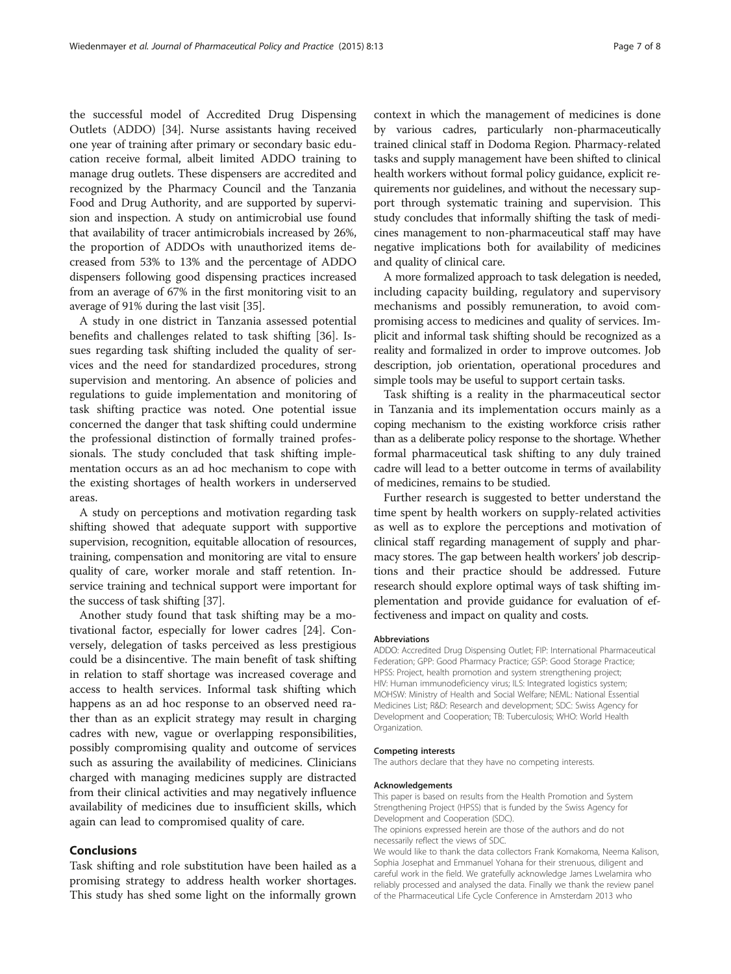the successful model of Accredited Drug Dispensing Outlets (ADDO) [[34\]](#page-7-0). Nurse assistants having received one year of training after primary or secondary basic education receive formal, albeit limited ADDO training to manage drug outlets. These dispensers are accredited and recognized by the Pharmacy Council and the Tanzania Food and Drug Authority, and are supported by supervision and inspection. A study on antimicrobial use found that availability of tracer antimicrobials increased by 26%, the proportion of ADDOs with unauthorized items decreased from 53% to 13% and the percentage of ADDO dispensers following good dispensing practices increased from an average of 67% in the first monitoring visit to an average of 91% during the last visit [[35\]](#page-7-0).

A study in one district in Tanzania assessed potential benefits and challenges related to task shifting [[36](#page-7-0)]. Issues regarding task shifting included the quality of services and the need for standardized procedures, strong supervision and mentoring. An absence of policies and regulations to guide implementation and monitoring of task shifting practice was noted. One potential issue concerned the danger that task shifting could undermine the professional distinction of formally trained professionals. The study concluded that task shifting implementation occurs as an ad hoc mechanism to cope with the existing shortages of health workers in underserved areas.

A study on perceptions and motivation regarding task shifting showed that adequate support with supportive supervision, recognition, equitable allocation of resources, training, compensation and monitoring are vital to ensure quality of care, worker morale and staff retention. Inservice training and technical support were important for the success of task shifting [\[37](#page-7-0)].

Another study found that task shifting may be a motivational factor, especially for lower cadres [[24\]](#page-7-0). Conversely, delegation of tasks perceived as less prestigious could be a disincentive. The main benefit of task shifting in relation to staff shortage was increased coverage and access to health services. Informal task shifting which happens as an ad hoc response to an observed need rather than as an explicit strategy may result in charging cadres with new, vague or overlapping responsibilities, possibly compromising quality and outcome of services such as assuring the availability of medicines. Clinicians charged with managing medicines supply are distracted from their clinical activities and may negatively influence availability of medicines due to insufficient skills, which again can lead to compromised quality of care.

#### Conclusions

Task shifting and role substitution have been hailed as a promising strategy to address health worker shortages. This study has shed some light on the informally grown context in which the management of medicines is done by various cadres, particularly non-pharmaceutically trained clinical staff in Dodoma Region. Pharmacy-related tasks and supply management have been shifted to clinical health workers without formal policy guidance, explicit requirements nor guidelines, and without the necessary support through systematic training and supervision. This study concludes that informally shifting the task of medicines management to non-pharmaceutical staff may have negative implications both for availability of medicines and quality of clinical care.

A more formalized approach to task delegation is needed, including capacity building, regulatory and supervisory mechanisms and possibly remuneration, to avoid compromising access to medicines and quality of services. Implicit and informal task shifting should be recognized as a reality and formalized in order to improve outcomes. Job description, job orientation, operational procedures and simple tools may be useful to support certain tasks.

Task shifting is a reality in the pharmaceutical sector in Tanzania and its implementation occurs mainly as a coping mechanism to the existing workforce crisis rather than as a deliberate policy response to the shortage. Whether formal pharmaceutical task shifting to any duly trained cadre will lead to a better outcome in terms of availability of medicines, remains to be studied.

Further research is suggested to better understand the time spent by health workers on supply-related activities as well as to explore the perceptions and motivation of clinical staff regarding management of supply and pharmacy stores. The gap between health workers' job descriptions and their practice should be addressed. Future research should explore optimal ways of task shifting implementation and provide guidance for evaluation of effectiveness and impact on quality and costs.

#### Abbreviations

ADDO: Accredited Drug Dispensing Outlet; FIP: International Pharmaceutical Federation; GPP: Good Pharmacy Practice; GSP: Good Storage Practice; HPSS: Project, health promotion and system strengthening project; HIV: Human immunodeficiency virus; ILS: Integrated logistics system; MOHSW: Ministry of Health and Social Welfare; NEML: National Essential Medicines List; R&D: Research and development; SDC: Swiss Agency for Development and Cooperation; TB: Tuberculosis; WHO: World Health Organization.

#### Competing interests

The authors declare that they have no competing interests.

#### Acknowledgements

This paper is based on results from the Health Promotion and System Strengthening Project (HPSS) that is funded by the Swiss Agency for Development and Cooperation (SDC).

The opinions expressed herein are those of the authors and do not necessarily reflect the views of SDC.

We would like to thank the data collectors Frank Komakoma, Neema Kalison, Sophia Josephat and Emmanuel Yohana for their strenuous, diligent and careful work in the field. We gratefully acknowledge James Lwelamira who reliably processed and analysed the data. Finally we thank the review panel of the Pharmaceutical Life Cycle Conference in Amsterdam 2013 who